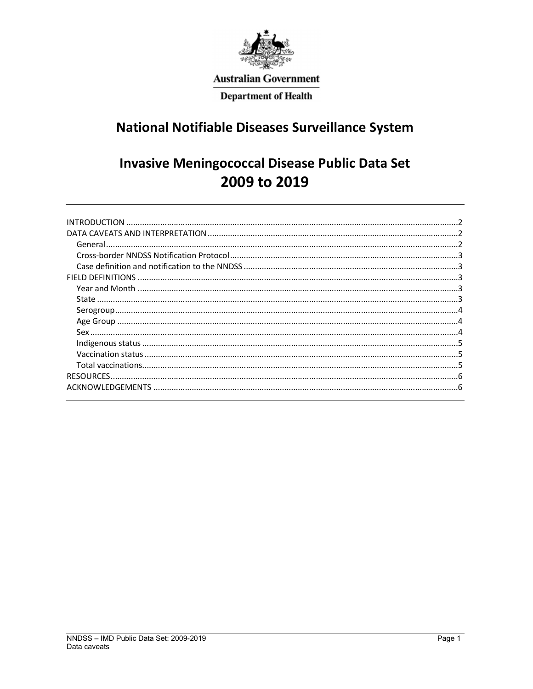

# **Australian Government**

**Department of Health** 

# **National Notifiable Diseases Surveillance System**

# **Invasive Meningococcal Disease Public Data Set** 2009 to 2019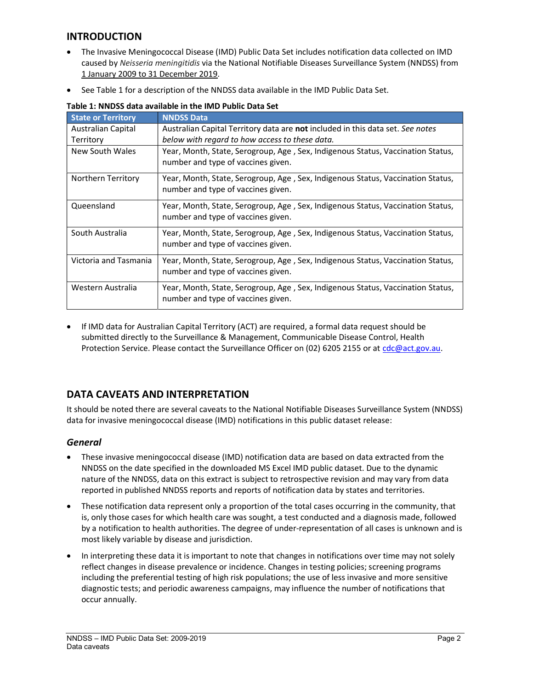## INTRODUCTION

- The Invasive Meningococcal Disease (IMD) Public Data Set includes notification data collected on IMD caused by Neisseria meningitidis via the National Notifiable Diseases Surveillance System (NNDSS) from 1 January 2009 to 31 December 2019.
- See Table 1 for a description of the NNDSS data available in the IMD Public Data Set.

| <b>State or Territory</b> | <b>NNDSS Data</b>                                                                                                     |
|---------------------------|-----------------------------------------------------------------------------------------------------------------------|
| <b>Australian Capital</b> | Australian Capital Territory data are not included in this data set. See notes                                        |
| Territory                 | below with regard to how access to these data.                                                                        |
| New South Wales           | Year, Month, State, Serogroup, Age, Sex, Indigenous Status, Vaccination Status,<br>number and type of vaccines given. |
| Northern Territory        | Year, Month, State, Serogroup, Age, Sex, Indigenous Status, Vaccination Status,<br>number and type of vaccines given. |
| Queensland                | Year, Month, State, Serogroup, Age, Sex, Indigenous Status, Vaccination Status,<br>number and type of vaccines given. |
| South Australia           | Year, Month, State, Serogroup, Age, Sex, Indigenous Status, Vaccination Status,<br>number and type of vaccines given. |
| Victoria and Tasmania     | Year, Month, State, Serogroup, Age, Sex, Indigenous Status, Vaccination Status,<br>number and type of vaccines given. |
| Western Australia         | Year, Month, State, Serogroup, Age, Sex, Indigenous Status, Vaccination Status,<br>number and type of vaccines given. |

#### Table 1: NNDSS data available in the IMD Public Data Set

 If IMD data for Australian Capital Territory (ACT) are required, a formal data request should be submitted directly to the Surveillance & Management, Communicable Disease Control, Health Protection Service. Please contact the Surveillance Officer on (02) 6205 2155 or at cdc@act.gov.au.

# DATA CAVEATS AND INTERPRETATION

It should be noted there are several caveats to the National Notifiable Diseases Surveillance System (NNDSS) data for invasive meningococcal disease (IMD) notifications in this public dataset release:

## **General**

- These invasive meningococcal disease (IMD) notification data are based on data extracted from the NNDSS on the date specified in the downloaded MS Excel IMD public dataset. Due to the dynamic nature of the NNDSS, data on this extract is subject to retrospective revision and may vary from data reported in published NNDSS reports and reports of notification data by states and territories.
- These notification data represent only a proportion of the total cases occurring in the community, that is, only those cases for which health care was sought, a test conducted and a diagnosis made, followed by a notification to health authorities. The degree of under-representation of all cases is unknown and is most likely variable by disease and jurisdiction.
- In interpreting these data it is important to note that changes in notifications over time may not solely reflect changes in disease prevalence or incidence. Changes in testing policies; screening programs including the preferential testing of high risk populations; the use of less invasive and more sensitive diagnostic tests; and periodic awareness campaigns, may influence the number of notifications that occur annually.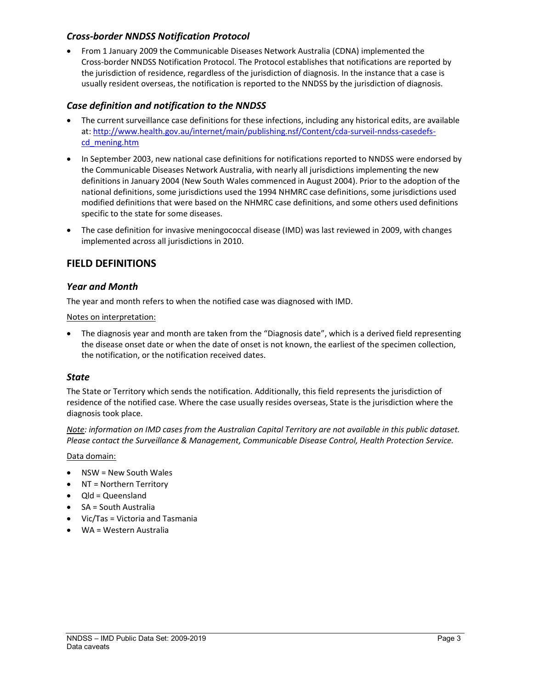## Cross-border NNDSS Notification Protocol

 From 1 January 2009 the Communicable Diseases Network Australia (CDNA) implemented the Cross-border NNDSS Notification Protocol. The Protocol establishes that notifications are reported by the jurisdiction of residence, regardless of the jurisdiction of diagnosis. In the instance that a case is usually resident overseas, the notification is reported to the NNDSS by the jurisdiction of diagnosis.

## Case definition and notification to the NNDSS

- The current surveillance case definitions for these infections, including any historical edits, are available at: http://www.health.gov.au/internet/main/publishing.nsf/Content/cda-surveil-nndss-casedefscd\_mening.htm
- In September 2003, new national case definitions for notifications reported to NNDSS were endorsed by the Communicable Diseases Network Australia, with nearly all jurisdictions implementing the new definitions in January 2004 (New South Wales commenced in August 2004). Prior to the adoption of the national definitions, some jurisdictions used the 1994 NHMRC case definitions, some jurisdictions used modified definitions that were based on the NHMRC case definitions, and some others used definitions specific to the state for some diseases.
- The case definition for invasive meningococcal disease (IMD) was last reviewed in 2009, with changes implemented across all jurisdictions in 2010.

## FIELD DEFINITIONS

## Year and Month

The year and month refers to when the notified case was diagnosed with IMD.

Notes on interpretation:

• The diagnosis year and month are taken from the "Diagnosis date", which is a derived field representing the disease onset date or when the date of onset is not known, the earliest of the specimen collection, the notification, or the notification received dates.

## **State**

The State or Territory which sends the notification. Additionally, this field represents the jurisdiction of residence of the notified case. Where the case usually resides overseas, State is the jurisdiction where the diagnosis took place.

Note: information on IMD cases from the Australian Capital Territory are not available in this public dataset. Please contact the Surveillance & Management, Communicable Disease Control, Health Protection Service.

Data domain:

- NSW = New South Wales
- NT = Northern Territory
- $\bullet$  Qld = Queensland
- SA = South Australia
- Vic/Tas = Victoria and Tasmania
- WA = Western Australia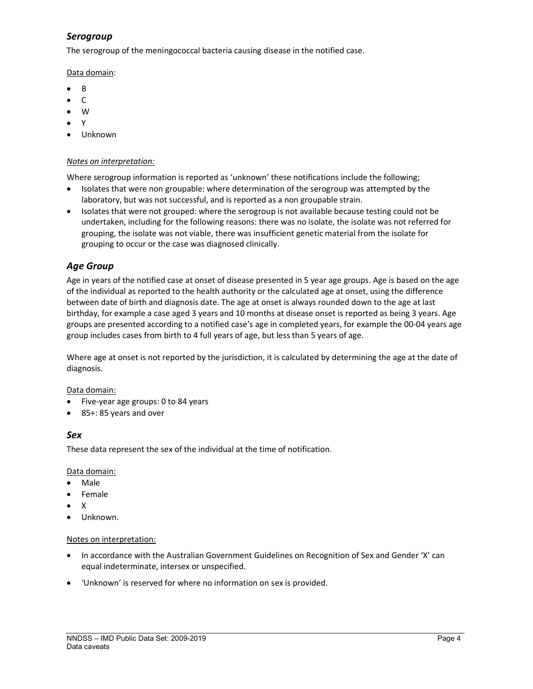# Serogroup

The serogroup of the meningococcal bacteria causing disease in the notified case.

Data domain:

- $\bullet$  R
- C
- W
- $\bullet$  Y
- Unknown

#### Notes on interpretation:

Where serogroup information is reported as 'unknown' these notifications include the following;

- Isolates that were non groupable: where determination of the serogroup was attempted by the laboratory, but was not successful, and is reported as a non groupable strain.
- Isolates that were not grouped: where the serogroup is not available because testing could not be undertaken, including for the following reasons: there was no isolate, the isolate was not referred for grouping, the isolate was not viable, there was insufficient genetic material from the isolate for grouping to occur or the case was diagnosed clinically.

## Age Group

Age in years of the notified case at onset of disease presented in 5 year age groups. Age is based on the age of the individual as reported to the health authority or the calculated age at onset, using the difference between date of birth and diagnosis date. The age at onset is always rounded down to the age at last birthday, for example a case aged 3 years and 10 months at disease onset is reported as being 3 years. Age groups are presented according to a notified case's age in completed years, for example the 00-04 years age group includes cases from birth to 4 full years of age, but less than 5 years of age.

Where age at onset is not reported by the jurisdiction, it is calculated by determining the age at the date of diagnosis.

## Data domain:

- Five-year age groups: 0 to 84 years
- 85+: 85 years and over

## Sex

These data represent the sex of the individual at the time of notification.

Data domain:

- Male
- Female
- $\bullet$  X
- Unknown.

## Notes on interpretation:

- In accordance with the Australian Government Guidelines on Recognition of Sex and Gender 'X' can equal indeterminate, intersex or unspecified.
- 'Unknown' is reserved for where no information on sex is provided.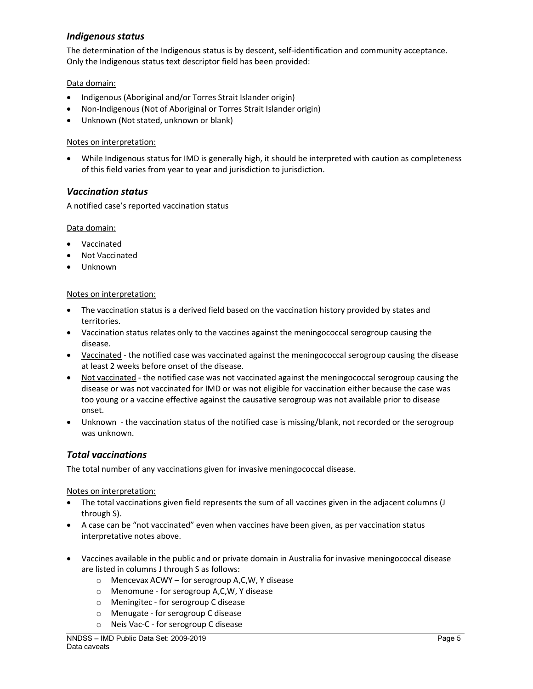## Indigenous status

The determination of the Indigenous status is by descent, self-identification and community acceptance. Only the Indigenous status text descriptor field has been provided:

#### Data domain:

- Indigenous (Aboriginal and/or Torres Strait Islander origin)
- Non-Indigenous (Not of Aboriginal or Torres Strait Islander origin)
- Unknown (Not stated, unknown or blank)

#### Notes on interpretation:

 While Indigenous status for IMD is generally high, it should be interpreted with caution as completeness of this field varies from year to year and jurisdiction to jurisdiction.

## Vaccination status

A notified case's reported vaccination status

#### Data domain:

- Vaccinated
- Not Vaccinated
- Unknown

#### Notes on interpretation:

- The vaccination status is a derived field based on the vaccination history provided by states and territories.
- Vaccination status relates only to the vaccines against the meningococcal serogroup causing the disease.
- Vaccinated the notified case was vaccinated against the meningococcal serogroup causing the disease at least 2 weeks before onset of the disease.
- Not vaccinated the notified case was not vaccinated against the meningococcal serogroup causing the disease or was not vaccinated for IMD or was not eligible for vaccination either because the case was too young or a vaccine effective against the causative serogroup was not available prior to disease onset.
- Unknown the vaccination status of the notified case is missing/blank, not recorded or the serogroup was unknown.

## Total vaccinations

The total number of any vaccinations given for invasive meningococcal disease.

Notes on interpretation:

- The total vaccinations given field represents the sum of all vaccines given in the adjacent columns (J through S).
- A case can be "not vaccinated" even when vaccines have been given, as per vaccination status interpretative notes above.
- Vaccines available in the public and or private domain in Australia for invasive meningococcal disease are listed in columns J through S as follows:
	- o Mencevax ACWY for serogroup A,C,W, Y disease
	- o Menomune for serogroup A,C,W, Y disease
	- o Meningitec for serogroup C disease
	- o Menugate for serogroup C disease
	- o Neis Vac-C for serogroup C disease